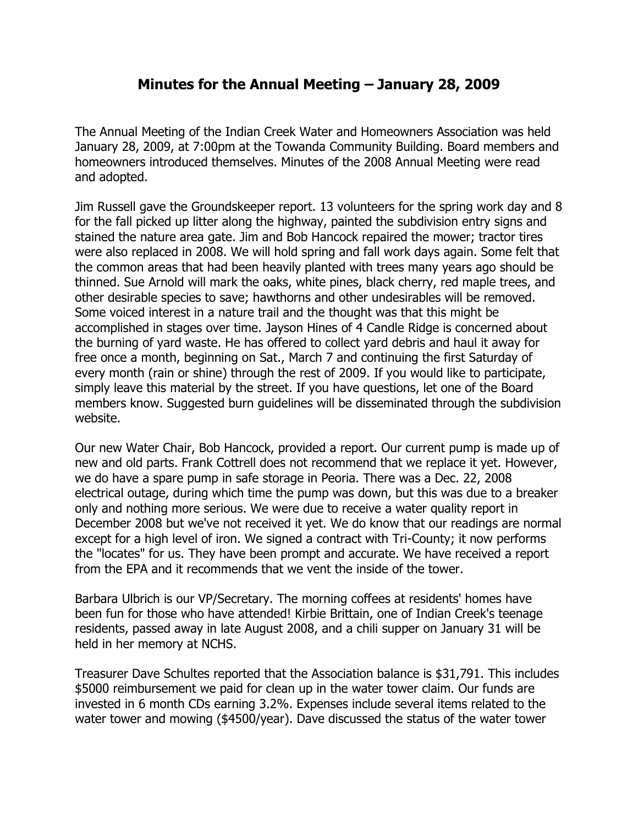## **Minutes for the Annual Meeting – January 28, 2009**

The Annual Meeting of the Indian Creek Water and Homeowners Association was held January 28, 2009, at 7:00pm at the Towanda Community Building. Board members and homeowners introduced themselves. Minutes of the 2008 Annual Meeting were read and adopted.

Jim Russell gave the Groundskeeper report. 13 volunteers for the spring work day and 8 for the fall picked up litter along the highway, painted the subdivision entry signs and stained the nature area gate. Jim and Bob Hancock repaired the mower; tractor tires were also replaced in 2008. We will hold spring and fall work days again. Some felt that the common areas that had been heavily planted with trees many years ago should be thinned. Sue Arnold will mark the oaks, white pines, black cherry, red maple trees, and other desirable species to save; hawthorns and other undesirables will be removed. Some voiced interest in a nature trail and the thought was that this might be accomplished in stages over time. Jayson Hines of 4 Candle Ridge is concerned about the burning of yard waste. He has offered to collect yard debris and haul it away for free once a month, beginning on Sat., March 7 and continuing the first Saturday of every month (rain or shine) through the rest of 2009. If you would like to participate, simply leave this material by the street. If you have questions, let one of the Board members know. Suggested burn guidelines will be disseminated through the subdivision website.

Our new Water Chair, Bob Hancock, provided a report. Our current pump is made up of new and old parts. Frank Cottrell does not recommend that we replace it yet. However, we do have a spare pump in safe storage in Peoria. There was a Dec. 22, 2008 electrical outage, during which time the pump was down, but this was due to a breaker only and nothing more serious. We were due to receive a water quality report in December 2008 but we've not received it yet. We do know that our readings are normal except for a high level of iron. We signed a contract with Tri-County; it now performs the "locates" for us. They have been prompt and accurate. We have received a report from the EPA and it recommends that we vent the inside of the tower.

Barbara Ulbrich is our VP/Secretary. The morning coffees at residents' homes have been fun for those who have attended! Kirbie Brittain, one of Indian Creek's teenage residents, passed away in late August 2008, and a chili supper on January 31 will be held in her memory at NCHS.

Treasurer Dave Schultes reported that the Association balance is \$31,791. This includes \$5000 reimbursement we paid for clean up in the water tower claim. Our funds are invested in 6 month CDs earning 3.2%. Expenses include several items related to the water tower and mowing (\$4500/year). Dave discussed the status of the water tower